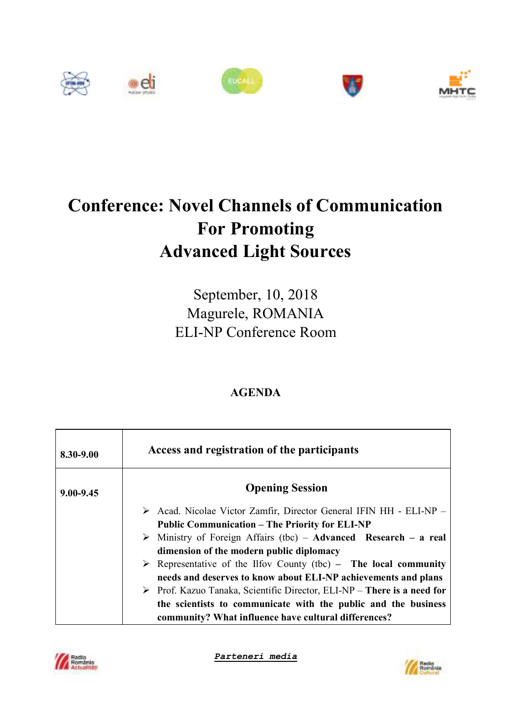

## **Conference: Novel Channels of Communication For Promoting Advanced Light Sources**

September, 10, 2018 Magurele, ROMANIA ELI-NP Conference Room

## **AGENDA**

| 8.30-9.00     | Access and registration of the participants                                            |
|---------------|----------------------------------------------------------------------------------------|
| $9.00 - 9.45$ | <b>Opening Session</b>                                                                 |
|               | > Acad. Nicolae Victor Zamfir, Director General IFIN HH - ELI-NP -                     |
|               | <b>Public Communication – The Priority for ELI-NP</b>                                  |
|               | $\triangleright$ Ministry of Foreign Affairs (tbc) – Advanced Research – a real        |
|               | dimension of the modern public diplomacy                                               |
|               | $\triangleright$ Representative of the Ilfov County (tbc) – The local community        |
|               | needs and deserves to know about ELI-NP achievements and plans                         |
|               | $\triangleright$ Prof. Kazuo Tanaka, Scientific Director, ELI-NP – There is a need for |
|               | the scientists to communicate with the public and the business                         |
|               | community? What influence have cultural differences?                                   |



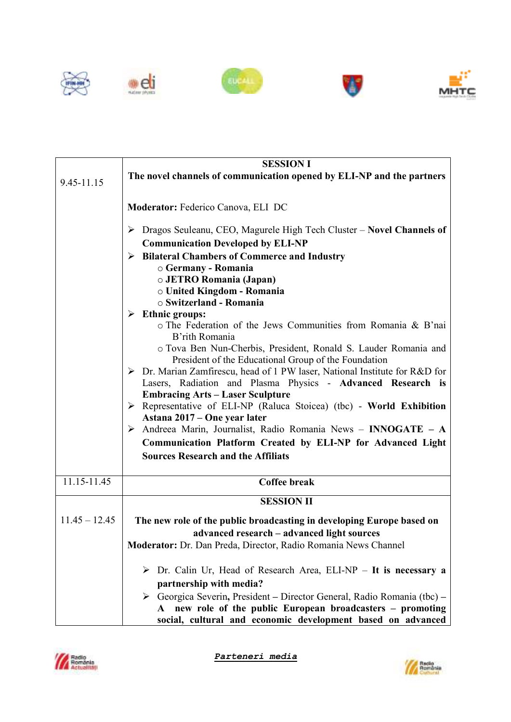









|                 | <b>SESSION I</b>                                                                                                        |
|-----------------|-------------------------------------------------------------------------------------------------------------------------|
| 9.45-11.15      | The novel channels of communication opened by ELI-NP and the partners                                                   |
|                 |                                                                                                                         |
|                 | Moderator: Federico Canova, ELI DC                                                                                      |
|                 |                                                                                                                         |
|                 | $\triangleright$ Dragos Seuleanu, CEO, Magurele High Tech Cluster – Novel Channels of                                   |
|                 | <b>Communication Developed by ELI-NP</b>                                                                                |
|                 | <b>Bilateral Chambers of Commerce and Industry</b><br>➤                                                                 |
|                 | ○ Germany - Romania                                                                                                     |
|                 | o JETRO Romania (Japan)<br>o United Kingdom - Romania                                                                   |
|                 | ○ Switzerland - Romania                                                                                                 |
|                 | $\triangleright$ Ethnic groups:                                                                                         |
|                 | o The Federation of the Jews Communities from Romania & B'nai<br>B'rith Romania                                         |
|                 | o Tova Ben Nun-Cherbis, President, Ronald S. Lauder Romania and<br>President of the Educational Group of the Foundation |
|                 | $\triangleright$ Dr. Marian Zamfirescu, head of 1 PW laser, National Institute for R&D for                              |
|                 | Lasers, Radiation and Plasma Physics - Advanced Research is                                                             |
|                 | <b>Embracing Arts - Laser Sculpture</b>                                                                                 |
|                 | $\triangleright$ Representative of ELI-NP (Raluca Stoicea) (tbc) - World Exhibition                                     |
|                 | Astana 2017 – One year later                                                                                            |
|                 | Andreea Marin, Journalist, Radio Romania News - INNOGATE - A<br>➤                                                       |
|                 | Communication Platform Created by ELI-NP for Advanced Light                                                             |
|                 | <b>Sources Research and the Affiliats</b>                                                                               |
| 11.15-11.45     | <b>Coffee break</b>                                                                                                     |
|                 |                                                                                                                         |
|                 | <b>SESSION II</b>                                                                                                       |
| $11.45 - 12.45$ | The new role of the public broadcasting in developing Europe based on                                                   |
|                 | advanced research - advanced light sources                                                                              |
|                 | Moderator: Dr. Dan Preda, Director, Radio Romania News Channel                                                          |
|                 | > Dr. Calin Ur, Head of Research Area, ELI-NP - It is necessary a                                                       |
|                 | partnership with media?                                                                                                 |
|                 | $\triangleright$ Georgica Severin, President – Director General, Radio Romania (tbc) –                                  |
|                 | A new role of the public European broadcasters – promoting                                                              |
|                 | social, cultural and economic development based on advanced                                                             |



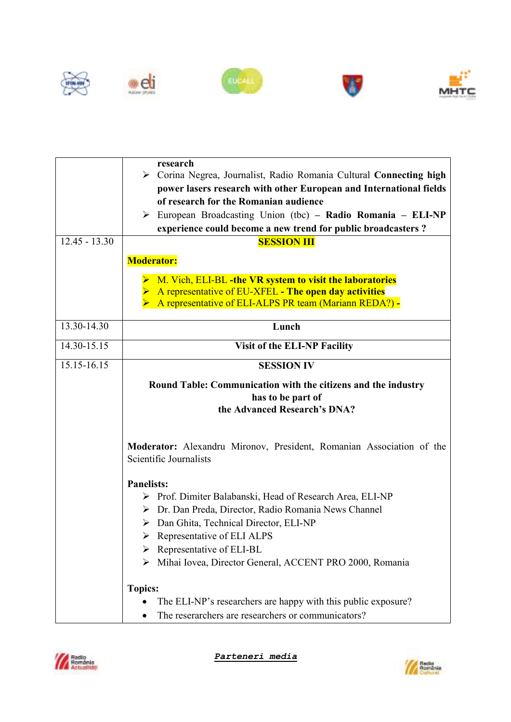



|                 | research<br>> Corina Negrea, Journalist, Radio Romania Cultural Connecting high<br>power lasers research with other European and International fields<br>of research for the Romanian audience<br>European Broadcasting Union (tbc) – Radio Romania – ELI-NP<br>➤<br>experience could become a new trend for public broadcasters? |
|-----------------|-----------------------------------------------------------------------------------------------------------------------------------------------------------------------------------------------------------------------------------------------------------------------------------------------------------------------------------|
| $12.45 - 13.30$ | <b>SESSION III</b>                                                                                                                                                                                                                                                                                                                |
|                 | <b>Moderator:</b>                                                                                                                                                                                                                                                                                                                 |
|                 | M. Vich, ELI-BL -the VR system to visit the laboratories<br>A representative of EU-XFEL - The open day activities<br>A representative of ELI-ALPS PR team (Mariann REDA?) -                                                                                                                                                       |
| 13.30-14.30     | Lunch                                                                                                                                                                                                                                                                                                                             |
| $14.30 - 15.15$ | <b>Visit of the ELI-NP Facility</b>                                                                                                                                                                                                                                                                                               |
| 15.15-16.15     | <b>SESSION IV</b>                                                                                                                                                                                                                                                                                                                 |
|                 | Round Table: Communication with the citizens and the industry<br>has to be part of<br>the Advanced Research's DNA?                                                                                                                                                                                                                |
|                 | Moderator: Alexandru Mironov, President, Romanian Association of the<br>Scientific Journalists                                                                                                                                                                                                                                    |
|                 | <b>Panelists:</b>                                                                                                                                                                                                                                                                                                                 |
|                 | Prof. Dimiter Balabanski, Head of Research Area, ELI-NP<br>➤                                                                                                                                                                                                                                                                      |
|                 | > Dr. Dan Preda, Director, Radio Romania News Channel                                                                                                                                                                                                                                                                             |
|                 | $\triangleright$ Dan Ghita, Technical Director, ELI-NP<br>$\triangleright$ Representative of ELI ALPS                                                                                                                                                                                                                             |
|                 | Representative of ELI-BL                                                                                                                                                                                                                                                                                                          |
|                 | Mihai Iovea, Director General, ACCENT PRO 2000, Romania                                                                                                                                                                                                                                                                           |
|                 | <b>Topics:</b>                                                                                                                                                                                                                                                                                                                    |
|                 | The ELI-NP's researchers are happy with this public exposure?                                                                                                                                                                                                                                                                     |
|                 | The reserarchers are researchers or communicators?                                                                                                                                                                                                                                                                                |



*Parteneri media*